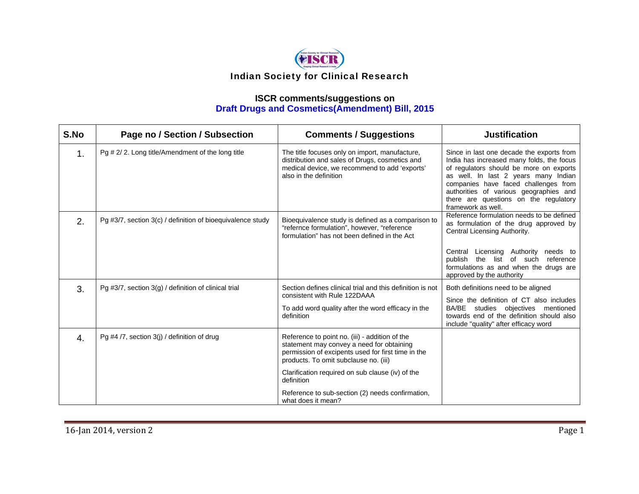

| S.No | Page no / Section / Subsection                             | <b>Comments / Suggestions</b>                                                                                                                                                              | <b>Justification</b>                                                                                                                                                                                                                                                                                                       |
|------|------------------------------------------------------------|--------------------------------------------------------------------------------------------------------------------------------------------------------------------------------------------|----------------------------------------------------------------------------------------------------------------------------------------------------------------------------------------------------------------------------------------------------------------------------------------------------------------------------|
| 1.   | Pg # 2/2. Long title/Amendment of the long title           | The title focuses only on import, manufacture,<br>distribution and sales of Drugs, cosmetics and<br>medical device, we recommend to add 'exports'<br>also in the definition                | Since in last one decade the exports from<br>India has increased many folds, the focus<br>of regulators should be more on exports<br>as well. In last 2 years many Indian<br>companies have faced challenges from<br>authorities of various geographies and<br>there are questions on the regulatory<br>framework as well. |
| 2.   | Pg #3/7, section 3(c) / definition of bioequivalence study | Bioequivalence study is defined as a comparison to<br>"refernce formulation", however, "reference<br>formulation" has not been defined in the Act                                          | Reference formulation needs to be defined<br>as formulation of the drug approved by<br>Central Licensing Authority.                                                                                                                                                                                                        |
|      |                                                            |                                                                                                                                                                                            | Central Licensing Authority needs to<br>publish the list of such reference<br>formulations as and when the drugs are<br>approved by the authority                                                                                                                                                                          |
| 3.   | Pg #3/7, section $3(g)$ / definition of clinical trial     | Section defines clinical trial and this definition is not<br>consistent with Rule 122DAAA<br>To add word quality after the word efficacy in the<br>definition                              | Both definitions need to be aligned<br>Since the definition of CT also includes<br>BA/BE studies objectives mentioned<br>towards end of the definition should also<br>include "quality" after efficacy word                                                                                                                |
| 4.   | Pg #4 /7, section $3(j)$ / definition of drug              | Reference to point no. (iii) - addition of the<br>statement may convey a need for obtaining<br>permission of excipents used for first time in the<br>products. To omit subclause no. (iii) |                                                                                                                                                                                                                                                                                                                            |
|      |                                                            | Clarification required on sub clause (iv) of the<br>definition                                                                                                                             |                                                                                                                                                                                                                                                                                                                            |
|      |                                                            | Reference to sub-section (2) needs confirmation,<br>what does it mean?                                                                                                                     |                                                                                                                                                                                                                                                                                                                            |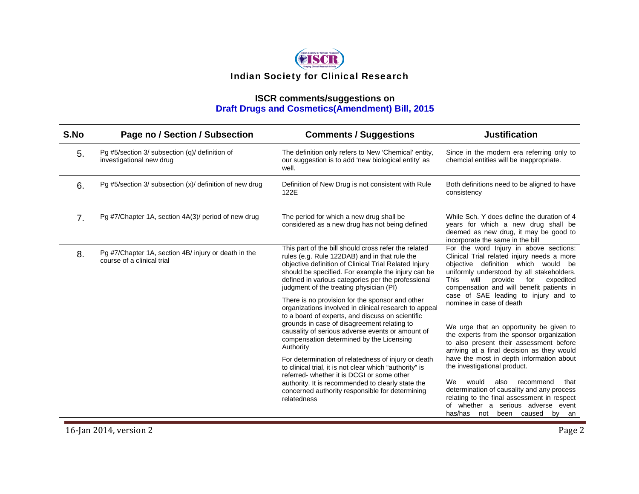

# **ISCR comments/suggestions on Draft Drugs and Cosmetics(Amendment) Bill, 2015**

| S.No           | Page no / Section / Subsection                                                     | <b>Comments / Suggestions</b>                                                                                                                                                                                                                                                                                                                                                                                                                                                                                                                                                                                                                                                                                                                                                                                                                                                                                                            | <b>Justification</b>                                                                                                                                                                                                                                                                                                                                                                                                                                                                                                                                                                                                                                                                                                                                                                                                              |
|----------------|------------------------------------------------------------------------------------|------------------------------------------------------------------------------------------------------------------------------------------------------------------------------------------------------------------------------------------------------------------------------------------------------------------------------------------------------------------------------------------------------------------------------------------------------------------------------------------------------------------------------------------------------------------------------------------------------------------------------------------------------------------------------------------------------------------------------------------------------------------------------------------------------------------------------------------------------------------------------------------------------------------------------------------|-----------------------------------------------------------------------------------------------------------------------------------------------------------------------------------------------------------------------------------------------------------------------------------------------------------------------------------------------------------------------------------------------------------------------------------------------------------------------------------------------------------------------------------------------------------------------------------------------------------------------------------------------------------------------------------------------------------------------------------------------------------------------------------------------------------------------------------|
| 5.             | Pg #5/section 3/ subsection (q)/ definition of<br>investigational new drug         | The definition only refers to New 'Chemical' entity,<br>our suggestion is to add 'new biological entity' as<br>well.                                                                                                                                                                                                                                                                                                                                                                                                                                                                                                                                                                                                                                                                                                                                                                                                                     | Since in the modern era referring only to<br>chemcial entities will be inappropriate.                                                                                                                                                                                                                                                                                                                                                                                                                                                                                                                                                                                                                                                                                                                                             |
| 6.             | Pg #5/section 3/ subsection $(x)$ / definition of new drug                         | Definition of New Drug is not consistent with Rule<br>122E                                                                                                                                                                                                                                                                                                                                                                                                                                                                                                                                                                                                                                                                                                                                                                                                                                                                               | Both definitions need to be aligned to have<br>consistency                                                                                                                                                                                                                                                                                                                                                                                                                                                                                                                                                                                                                                                                                                                                                                        |
| 7 <sub>1</sub> | Pg #7/Chapter 1A, section 4A(3)/ period of new drug                                | The period for which a new drug shall be<br>considered as a new drug has not being defined                                                                                                                                                                                                                                                                                                                                                                                                                                                                                                                                                                                                                                                                                                                                                                                                                                               | While Sch. Y does define the duration of 4<br>years for which a new drug shall be<br>deemed as new drug, it may be good to<br>incorporate the same in the bill                                                                                                                                                                                                                                                                                                                                                                                                                                                                                                                                                                                                                                                                    |
| 8.             | Pg #7/Chapter 1A, section 4B/ injury or death in the<br>course of a clinical trial | This part of the bill should cross refer the related<br>rules (e.g. Rule 122DAB) and in that rule the<br>objective definition of Clinical Trial Related Injury<br>should be specified. For example the injury can be<br>defined in various categories per the professional<br>judgment of the treating physician (PI)<br>There is no provision for the sponsor and other<br>organizations involved in clinical research to appeal<br>to a board of experts, and discuss on scientific<br>grounds in case of disagreement relating to<br>causality of serious adverse events or amount of<br>compensation determined by the Licensing<br>Authority<br>For determination of relatedness of injury or death<br>to clinical trial, it is not clear which "authority" is<br>referred- whether it is DCGI or some other<br>authority. It is recommended to clearly state the<br>concerned authority responsible for determining<br>relatedness | For the word Injury in above sections:<br>Clinical Trial related injury needs a more<br>objective definition which would be<br>uniformly understood by all stakeholders.<br>will<br>provide<br>for<br>This<br>expedited<br>compensation and will benefit patients in<br>case of SAE leading to injury and to<br>nominee in case of death<br>We urge that an opportunity be given to<br>the experts from the sponsor organization<br>to also present their assessment before<br>arriving at a final decision as they would<br>have the most in depth information about<br>the investigational product.<br>We<br>would<br>also<br>recommend<br>that<br>determination of causality and any process<br>relating to the final assessment in respect<br>of whether a serious adverse event<br>has/has<br>not<br>been caused<br>by<br>an |

**16**-Jan 2014, version 2 Page 2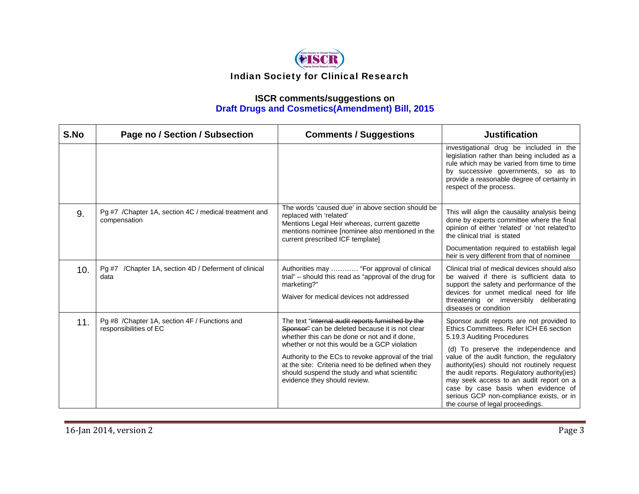

| S.No | Page no / Section / Subsection                                           | <b>Comments / Suggestions</b>                                                                                                                                                                                                                                                                                                                                                                      | <b>Justification</b>                                                                                                                                                                                                                                                                                                                                                                                                                                                       |
|------|--------------------------------------------------------------------------|----------------------------------------------------------------------------------------------------------------------------------------------------------------------------------------------------------------------------------------------------------------------------------------------------------------------------------------------------------------------------------------------------|----------------------------------------------------------------------------------------------------------------------------------------------------------------------------------------------------------------------------------------------------------------------------------------------------------------------------------------------------------------------------------------------------------------------------------------------------------------------------|
|      |                                                                          |                                                                                                                                                                                                                                                                                                                                                                                                    | investigational drug be included in the<br>legislation rather than being included as a<br>rule which may be varied from time to time<br>by successive governments, so as to<br>provide a reasonable degree of certainty in<br>respect of the process.                                                                                                                                                                                                                      |
| 9.   | Pg #7 / Chapter 1A, section 4C / medical treatment and<br>compensation   | The words 'caused due' in above section should be<br>replaced with 'related'<br>Mentions Legal Heir whereas, current gazette<br>mentions nominee [nominee also mentioned in the<br>current prescribed ICF template]                                                                                                                                                                                | This will align the causality analysis being<br>done by experts committee where the final<br>opinion of either 'related' or 'not related'to<br>the clinical trial is stated<br>Documentation required to establish legal<br>heir is very different from that of nominee                                                                                                                                                                                                    |
| 10.  | /Chapter 1A, section 4D / Deferment of clinical<br>Pg #7<br>data         | Authorities may  "For approval of clinical<br>trial" – should this read as "approval of the drug for<br>marketing?"<br>Waiver for medical devices not addressed                                                                                                                                                                                                                                    | Clinical trial of medical devices should also<br>be waived if there is sufficient data to<br>support the safety and performance of the<br>devices for unmet medical need for life<br>threatening or irreversibly deliberating<br>diseases or condition                                                                                                                                                                                                                     |
| 11.  | Pg #8 / Chapter 1A, section 4F / Functions and<br>responsibilities of EC | The text "internal audit reports furnished by the<br>Sponsor" can be deleted because it is not clear<br>whether this can be done or not and if done,<br>whether or not this would be a GCP violation<br>Authority to the ECs to revoke approval of the trial<br>at the site: Criteria need to be defined when they<br>should suspend the study and what scientific<br>evidence they should review. | Sponsor audit reports are not provided to<br>Ethics Committees. Refer ICH E6 section<br>5.19.3 Auditing Procedures<br>(d) To preserve the independence and<br>value of the audit function, the regulatory<br>authority(ies) should not routinely request<br>the audit reports. Regulatory authority(ies)<br>may seek access to an audit report on a<br>case by case basis when evidence of<br>serious GCP non-compliance exists, or in<br>the course of legal proceedings. |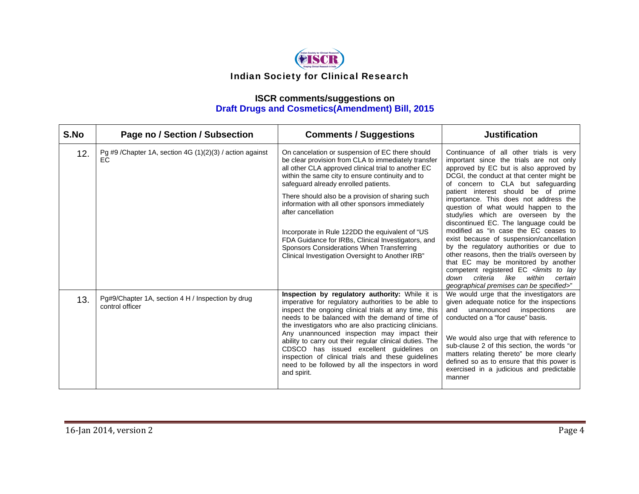

| S.No | Page no / Section / Subsection                                       | <b>Comments / Suggestions</b>                                                                                                                                                                                                                                                                                                                                                                                                                                                                                                                                                                    | <b>Justification</b>                                                                                                                                                                                                                                                                                                                                                                                                                                                                                                                                                                                                                                                                                                                                                                                         |
|------|----------------------------------------------------------------------|--------------------------------------------------------------------------------------------------------------------------------------------------------------------------------------------------------------------------------------------------------------------------------------------------------------------------------------------------------------------------------------------------------------------------------------------------------------------------------------------------------------------------------------------------------------------------------------------------|--------------------------------------------------------------------------------------------------------------------------------------------------------------------------------------------------------------------------------------------------------------------------------------------------------------------------------------------------------------------------------------------------------------------------------------------------------------------------------------------------------------------------------------------------------------------------------------------------------------------------------------------------------------------------------------------------------------------------------------------------------------------------------------------------------------|
| 12.  | Pg #9 / Chapter 1A, section 4G $(1)(2)(3)$ / action against<br>ЕC    | On cancelation or suspension of EC there should<br>be clear provision from CLA to immediately transfer<br>all other CLA approved clinical trial to another EC<br>within the same city to ensure continuity and to<br>safeguard already enrolled patients.<br>There should also be a provision of sharing such<br>information with all other sponsors immediately<br>after cancellation<br>Incorporate in Rule 122DD the equivalent of "US<br>FDA Guidance for IRBs, Clinical Investigators, and<br>Sponsors Considerations When Transferring<br>Clinical Investigation Oversight to Another IRB" | Continuance of all other trials is very<br>important since the trials are not only<br>approved by EC but is also approved by<br>DCGI, the conduct at that center might be<br>of concern to CLA but safeguarding<br>patient interest should be of prime<br>importance. This does not address the<br>question of what would happen to the<br>study/ies which are overseen by the<br>discontinued EC. The language could be<br>modified as "in case the EC ceases to<br>exist because of suspension/cancellation<br>by the regulatory authorities or due to<br>other reasons, then the trial/s overseen by<br>that EC may be monitored by another<br>competent registered EC <limits lay<br="" to="">like<br/>criteria<br/>within<br/>down<br/>certain<br/>geographical premises can be specified&gt;"</limits> |
| 13.  | Pg#9/Chapter 1A, section 4 H / Inspection by drug<br>control officer | Inspection by regulatory authority: While it is<br>imperative for regulatory authorities to be able to<br>inspect the ongoing clinical trials at any time, this<br>needs to be balanced with the demand of time of<br>the investigators who are also practicing clinicians.<br>Any unannounced inspection may impact their<br>ability to carry out their regular clinical duties. The<br>CDSCO has issued excellent quidelines on<br>inspection of clinical trials and these guidelines<br>need to be followed by all the inspectors in word<br>and spirit.                                      | We would urge that the investigators are<br>given adequate notice for the inspections<br>unannounced<br>inspections<br>and<br>are<br>conducted on a "for cause" basis.<br>We would also urge that with reference to<br>sub-clause 2 of this section, the words "or<br>matters relating thereto" be more clearly<br>defined so as to ensure that this power is<br>exercised in a judicious and predictable<br>manner                                                                                                                                                                                                                                                                                                                                                                                          |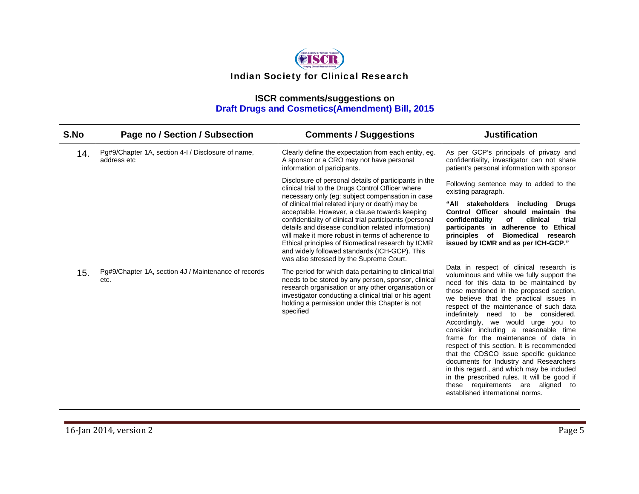

| S.No | Page no / Section / Subsection                                    | <b>Comments / Suggestions</b>                                                                                                                                                                                                                                                                                                                                                                                                                                                                                                                                                                | <b>Justification</b>                                                                                                                                                                                                                                                                                                                                                                                                                                                                                                                                                                                                                                                                                                                 |
|------|-------------------------------------------------------------------|----------------------------------------------------------------------------------------------------------------------------------------------------------------------------------------------------------------------------------------------------------------------------------------------------------------------------------------------------------------------------------------------------------------------------------------------------------------------------------------------------------------------------------------------------------------------------------------------|--------------------------------------------------------------------------------------------------------------------------------------------------------------------------------------------------------------------------------------------------------------------------------------------------------------------------------------------------------------------------------------------------------------------------------------------------------------------------------------------------------------------------------------------------------------------------------------------------------------------------------------------------------------------------------------------------------------------------------------|
| 14.  | Pg#9/Chapter 1A, section 4-1 / Disclosure of name,<br>address etc | Clearly define the expectation from each entity, eg.<br>A sponsor or a CRO may not have personal<br>information of paricipants.                                                                                                                                                                                                                                                                                                                                                                                                                                                              | As per GCP's principals of privacy and<br>confidentiality, investigator can not share<br>patient's personal information with sponsor                                                                                                                                                                                                                                                                                                                                                                                                                                                                                                                                                                                                 |
|      |                                                                   | Disclosure of personal details of participants in the<br>clinical trial to the Drugs Control Officer where<br>necessary only (eg: subject compensation in case<br>of clinical trial related injury or death) may be<br>acceptable. However, a clause towards keeping<br>confidentiality of clinical trial participants (personal<br>details and disease condition related information)<br>will make it more robust in terms of adherence to<br>Ethical principles of Biomedical research by ICMR<br>and widely followed standards (ICH-GCP). This<br>was also stressed by the Supreme Court. | Following sentence may to added to the<br>existing paragraph.<br>"All stakeholders including Drugs<br>Control Officer should maintain the<br>confidentiality<br>of<br>clinical<br>trial<br>participants in adherence to Ethical<br>principles of Biomedical research<br>issued by ICMR and as per ICH-GCP."                                                                                                                                                                                                                                                                                                                                                                                                                          |
| 15.  | Pg#9/Chapter 1A, section 4J / Maintenance of records<br>etc.      | The period for which data pertaining to clinical trial<br>needs to be stored by any person, sponsor, clinical<br>research organisation or any other organisation or<br>investigator conducting a clinical trial or his agent<br>holding a permission under this Chapter is not<br>specified                                                                                                                                                                                                                                                                                                  | Data in respect of clinical research is<br>voluminous and while we fully support the<br>need for this data to be maintained by<br>those mentioned in the proposed section,<br>we believe that the practical issues in<br>respect of the maintenance of such data<br>indefinitely need to be considered.<br>Accordingly, we would urge you to<br>consider including a reasonable time<br>frame for the maintenance of data in<br>respect of this section. It is recommended<br>that the CDSCO issue specific guidance<br>documents for Industry and Researchers<br>in this regard., and which may be included<br>in the prescribed rules. It will be good if<br>these requirements are aligned to<br>established international norms. |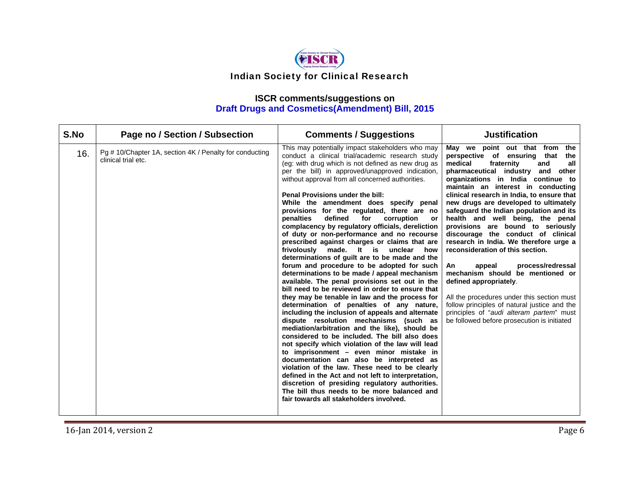

#### **ISCR comments/suggestions on Draft Drugs and Cosmetics(Amendment) Bill, 2015**

| S.No | Page no / Section / Subsection                                                 | <b>Comments / Suggestions</b>                                                                                                                                                                                                                                                                                                                                                                                                                                                                                                                                                                                                                                                                                                                                                                                                                                                                                                                                                                                                                                                                                                                                                                                                                                                                                                                                                                                                                                                                                                                                                                           | <b>Justification</b>                                                                                                                                                                                                                                                                                                                                                                                                                                                                                                                                                                                                                                                                                                                                                                                                                                           |
|------|--------------------------------------------------------------------------------|---------------------------------------------------------------------------------------------------------------------------------------------------------------------------------------------------------------------------------------------------------------------------------------------------------------------------------------------------------------------------------------------------------------------------------------------------------------------------------------------------------------------------------------------------------------------------------------------------------------------------------------------------------------------------------------------------------------------------------------------------------------------------------------------------------------------------------------------------------------------------------------------------------------------------------------------------------------------------------------------------------------------------------------------------------------------------------------------------------------------------------------------------------------------------------------------------------------------------------------------------------------------------------------------------------------------------------------------------------------------------------------------------------------------------------------------------------------------------------------------------------------------------------------------------------------------------------------------------------|----------------------------------------------------------------------------------------------------------------------------------------------------------------------------------------------------------------------------------------------------------------------------------------------------------------------------------------------------------------------------------------------------------------------------------------------------------------------------------------------------------------------------------------------------------------------------------------------------------------------------------------------------------------------------------------------------------------------------------------------------------------------------------------------------------------------------------------------------------------|
| 16.  | Pg # 10/Chapter 1A, section 4K / Penalty for conducting<br>clinical trial etc. | This may potentially impact stakeholders who may<br>conduct a clinical trial/academic research study<br>(eg: with drug which is not defined as new drug as<br>per the bill) in approved/unapproved indication,<br>without approval from all concerned authorities.<br>Penal Provisions under the bill:<br>While the amendment does specify penal<br>provisions for the regulated, there are no<br>defined<br>penalties<br>for<br>corruption<br>or<br>complacency by regulatory officials, dereliction<br>of duty or non-performance and no recourse<br>prescribed against charges or claims that are<br>made. It is unclear<br>frivolously<br>how<br>determinations of quilt are to be made and the<br>forum and procedure to be adopted for such<br>determinations to be made / appeal mechanism<br>available. The penal provisions set out in the<br>bill need to be reviewed in order to ensure that<br>they may be tenable in law and the process for<br>determination of penalties of any nature,<br>including the inclusion of appeals and alternate<br>dispute resolution mechanisms (such as<br>mediation/arbitration and the like), should be<br>considered to be included. The bill also does<br>not specify which violation of the law will lead<br>to imprisonment - even minor mistake in<br>documentation can also be interpreted as<br>violation of the law. These need to be clearly<br>defined in the Act and not left to interpretation,<br>discretion of presiding regulatory authorities.<br>The bill thus needs to be more balanced and<br>fair towards all stakeholders involved. | May we point out that from<br>the<br>perspective of ensuring that<br>the<br>medical<br>fraternity<br>all<br>and<br>pharmaceutical industry and<br>other<br>organizations in India continue to<br>maintain an interest in conducting<br>clinical research in India, to ensure that<br>new drugs are developed to ultimately<br>safeguard the Indian population and its<br>health and well being, the penal<br>provisions are bound to seriously<br>discourage the conduct of clinical<br>research in India. We therefore urge a<br>reconsideration of this section.<br>process/redressal<br>An<br>appeal<br>mechanism should be mentioned or<br>defined appropriately.<br>All the procedures under this section must<br>follow principles of natural justice and the<br>principles of "audi alteram partem" must<br>be followed before prosecution is initiated |

**16**-Jan 2014, version 2 Page 6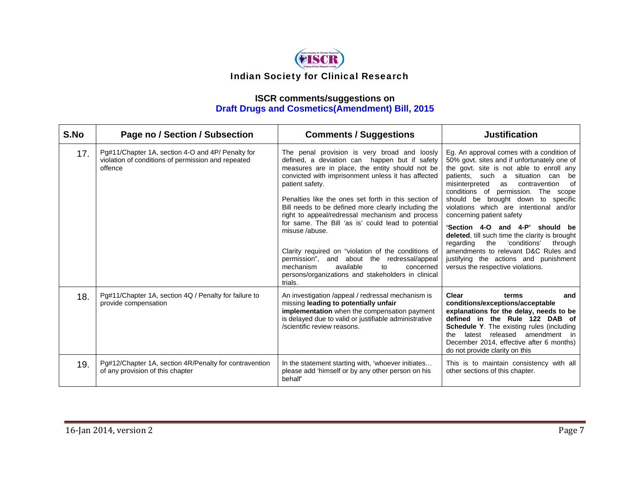

| S.No | Page no / Section / Subsection                                                                                     | <b>Comments / Suggestions</b>                                                                                                                                                                                                                                                                                                                                                                                                                                                                                                                                                                                                                                                           | <b>Justification</b>                                                                                                                                                                                                                                                                                                                                                                                                                                                                                                                                                                                                                             |
|------|--------------------------------------------------------------------------------------------------------------------|-----------------------------------------------------------------------------------------------------------------------------------------------------------------------------------------------------------------------------------------------------------------------------------------------------------------------------------------------------------------------------------------------------------------------------------------------------------------------------------------------------------------------------------------------------------------------------------------------------------------------------------------------------------------------------------------|--------------------------------------------------------------------------------------------------------------------------------------------------------------------------------------------------------------------------------------------------------------------------------------------------------------------------------------------------------------------------------------------------------------------------------------------------------------------------------------------------------------------------------------------------------------------------------------------------------------------------------------------------|
| 17.  | Pg#11/Chapter 1A, section 4-O and 4P/ Penalty for<br>violation of conditions of permission and repeated<br>offence | The penal provision is very broad and loosly<br>defined, a deviation can happen but if safety<br>measures are in place, the entity should not be<br>convicted with imprisonment unless it has affected<br>patient safety.<br>Penalties like the ones set forth in this section of<br>Bill needs to be defined more clearly including the<br>right to appeal/redressal mechanism and process<br>for same. The Bill 'as is' could lead to potential<br>misuse /abuse.<br>Clarity required on "violation of the conditions of<br>permission", and about the redressal/appeal<br>available<br>mechanism<br>to<br>concerned<br>persons/organizations and stakeholders in clinical<br>trials. | Eg. An approval comes with a condition of<br>50% govt. sites and if unfortunately one of<br>the govt, site is not able to enroll any<br>patients, such a<br>situation can<br>be<br>0f<br>misinterpreted<br>as<br>contravention<br>conditions of permission. The scope<br>should be brought down to<br>specific<br>violations which are intentional and/or<br>concerning patient safety<br>'Section 4-O and 4-P' should be<br>deleted, till such time the clarity is brought<br>'conditions'<br>the<br>regarding<br>through<br>amendments to relevant D&C Rules and<br>justifying the actions and punishment<br>versus the respective violations. |
| 18.  | Pg#11/Chapter 1A, section 4Q / Penalty for failure to<br>provide compensation                                      | An investigation /appeal / redressal mechanism is<br>missing leading to potentially unfair<br>implementation when the compensation payment<br>is delayed due to valid or justifiable administrative<br>/scientific review reasons.                                                                                                                                                                                                                                                                                                                                                                                                                                                      | Clear<br>terms<br>and<br>conditions/exceptions/acceptable<br>explanations for the delay, needs to be<br>defined in the Rule 122 DAB of<br>Schedule Y. The existing rules (including<br>latest released amendment in<br>the<br>December 2014, effective after 6 months)<br>do not provide clarity on this                                                                                                                                                                                                                                                                                                                                         |
| 19.  | Pg#12/Chapter 1A, section 4R/Penalty for contravention<br>of any provision of this chapter                         | In the statement starting with, 'whoever initiates<br>please add 'himself or by any other person on his<br>behalf'                                                                                                                                                                                                                                                                                                                                                                                                                                                                                                                                                                      | This is to maintain consistency with all<br>other sections of this chapter.                                                                                                                                                                                                                                                                                                                                                                                                                                                                                                                                                                      |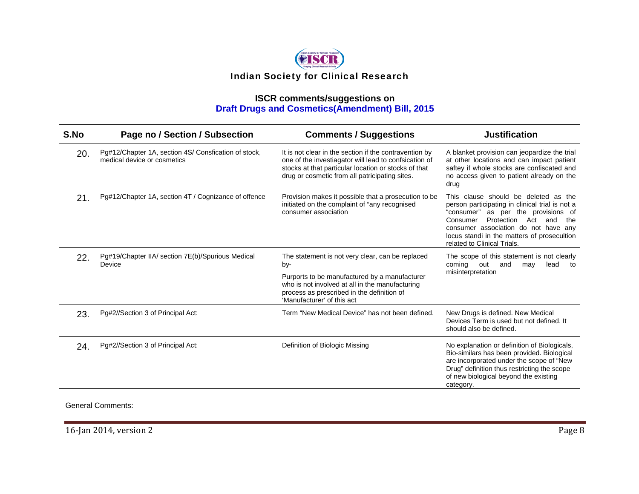

# **ISCR comments/suggestions on Draft Drugs and Cosmetics(Amendment) Bill, 2015**

| S.No | Page no / Section / Subsection                                                      | <b>Comments / Suggestions</b>                                                                                                                                                                                                           | <b>Justification</b>                                                                                                                                                                                                                                                                          |
|------|-------------------------------------------------------------------------------------|-----------------------------------------------------------------------------------------------------------------------------------------------------------------------------------------------------------------------------------------|-----------------------------------------------------------------------------------------------------------------------------------------------------------------------------------------------------------------------------------------------------------------------------------------------|
| 20.  | Pg#12/Chapter 1A, section 4S/ Consfication of stock,<br>medical device or cosmetics | It is not clear in the section if the contravention by<br>one of the investiagator will lead to confsication of<br>stocks at that particular location or stocks of that<br>drug or cosmetic from all patricipating sites.               | A blanket provision can jeopardize the trial<br>at other locations and can impact patient<br>saftey if whole stocks are confiscated and<br>no access given to patient already on the<br>drug                                                                                                  |
| 21.  | Pg#12/Chapter 1A, section 4T / Cognizance of offence                                | Provision makes it possible that a prosecution to be<br>initiated on the complaint of "any recognised<br>consumer association                                                                                                           | This clause should be deleted as the<br>person participating in clinical trial is not a<br>"consumer" as per the provisions of<br>Protection Act and<br>Consumer<br>the<br>consumer association do not have any<br>locus standi in the matters of prosecultion<br>related to Clinical Trials. |
| 22.  | Pg#19/Chapter IIA/ section 7E(b)/Spurious Medical<br>Device                         | The statement is not very clear, can be replaced<br>by-<br>Purports to be manufactured by a manufacturer<br>who is not involved at all in the manufacturing<br>process as prescribed in the definition of<br>'Manufacturer' of this act | The scope of this statement is not clearly<br>coming<br>out<br>and<br>may<br>lead<br>to<br>misinterpretation                                                                                                                                                                                  |
| 23.  | Pg#2//Section 3 of Principal Act:                                                   | Term "New Medical Device" has not been defined.                                                                                                                                                                                         | New Drugs is defined. New Medical<br>Devices Term is used but not defined. It<br>should also be defined.                                                                                                                                                                                      |
| 24.  | Pg#2//Section 3 of Principal Act:                                                   | Definition of Biologic Missing                                                                                                                                                                                                          | No explanation or definition of Biologicals,<br>Bio-similars has been provided. Biological<br>are incorporated under the scope of "New<br>Drug" definition thus restricting the scope<br>of new biological beyond the existing<br>category.                                                   |

General Comments: